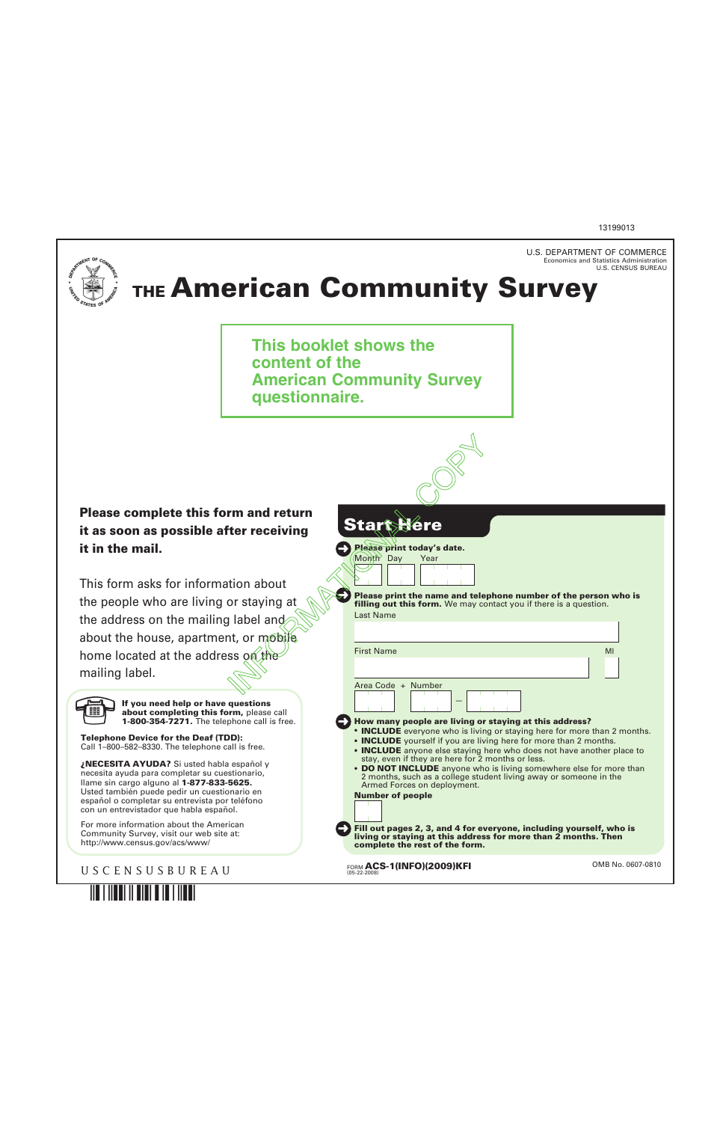U.S. CENSUS BUREAU

U.S. DEPARTMENT OF COMMERCE Economics and Statistics Administration



# **THE American Community Survey**

**This booklet shows the content of the American Community Survey questionnaire.**

**Please complete this form and return it as soon as possible after receiving it in the mail.**

This form asks for information about the people who are living or staying at the address on the mailing label and about the house, apartment, or mobile home located at the address on the mailing label.



**If you need help or have questions about completing this form,** please call **1-800-354-7271.** The telephone call is free.

**Telephone Device for the Deaf (TDD):** Call 1–800–582–8330. The telephone call is free.

**¿NECESITA AYUDA?** Si usted habla español y necesita ayuda para completar su cuestionario, llame sin cargo alguno al **1-877-833-5625.**  Usted también puede pedir un cuestionario en español o completar su entrevista por teléfono con un entrevistador que habla español.

For more information about the American Community Survey, visit our web site at: http://www.census.gov/acs/www/

USCENSUSBUREAU



| rm and return                                                        |                                                                                                                                                                                                                                                                                                                                              |                   |
|----------------------------------------------------------------------|----------------------------------------------------------------------------------------------------------------------------------------------------------------------------------------------------------------------------------------------------------------------------------------------------------------------------------------------|-------------------|
| ter receiving                                                        | <b>Start</b><br>ere                                                                                                                                                                                                                                                                                                                          |                   |
| tion about<br>or staying at<br>alabel and                            | Please print today's date.<br>Month Day<br>Year<br>Please print the name and telephone number of the person who is<br>filling out this form. We may contact you if there is a question.<br>Last Name                                                                                                                                         |                   |
| าt, or mobile                                                        |                                                                                                                                                                                                                                                                                                                                              |                   |
| ss on the<br>questions<br><b>rm,</b> please call                     | <b>First Name</b><br>Area Code + Number                                                                                                                                                                                                                                                                                                      | MI                |
| phone call is free.<br>D):<br>all is free.                           | How many people are living or staying at this address?<br>• <b>INCLUDE</b> everyone who is living or staying here for more than 2 months.<br>• INCLUDE yourself if you are living here for more than 2 months.<br>• INCLUDE anyone else staying here who does not have another place to<br>stay, even if they are here for 2 months or less. |                   |
| ı español y<br>stionario,<br>5625.<br>onario en<br>· teléfono<br>ol. | • DO NOT INCLUDE anyone who is living somewhere else for more than<br>2 months, such as a college student living away or someone in the<br>Armed Forces on deployment.<br><b>Number of people</b>                                                                                                                                            |                   |
| ican<br>at:                                                          | Fill out pages 2, 3, and 4 for everyone, including yourself, who is<br>living or staying at this address for more than 2 months. Then<br>complete the rest of the form.                                                                                                                                                                      |                   |
|                                                                      | FORM ACS-1(INFO)(2009)KFI<br>$(05-22-2008)$                                                                                                                                                                                                                                                                                                  | OMB No. 0607-0810 |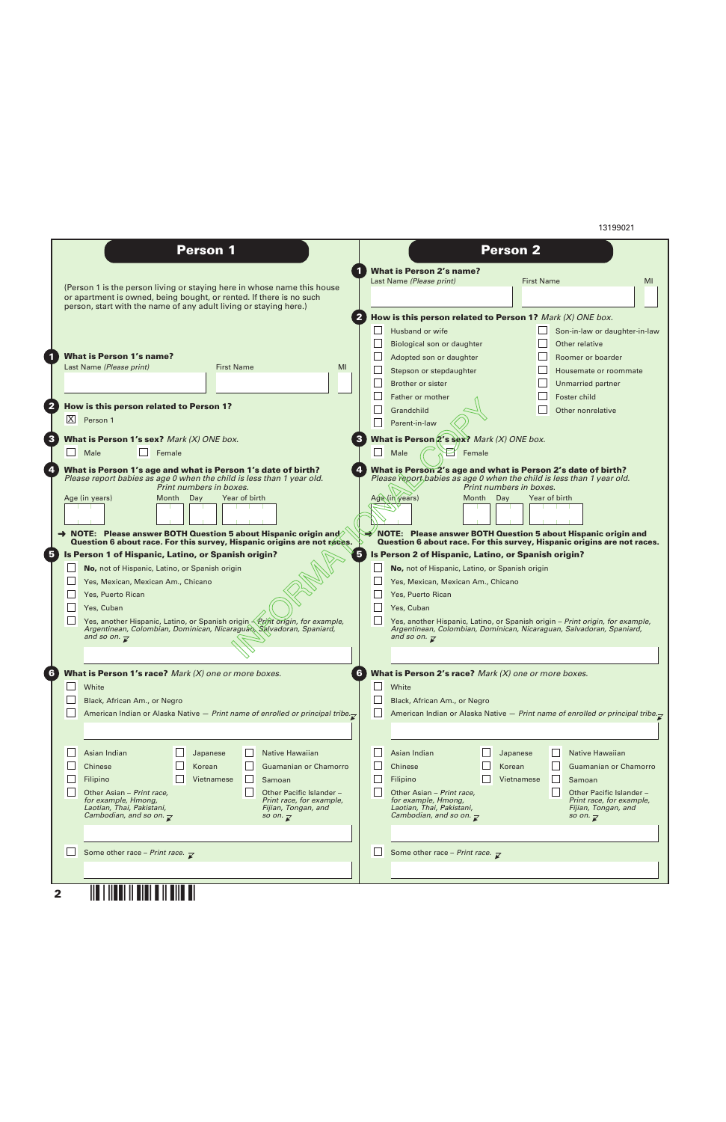|        |                                                                                                                                                           | <b>Person 1</b>         |                                                 |    |               |                                                                                                                                          | <b>Person 2</b>         |                   |                                                 |  |
|--------|-----------------------------------------------------------------------------------------------------------------------------------------------------------|-------------------------|-------------------------------------------------|----|---------------|------------------------------------------------------------------------------------------------------------------------------------------|-------------------------|-------------------|-------------------------------------------------|--|
|        |                                                                                                                                                           |                         |                                                 |    |               | <b>What is Person 2's name?</b>                                                                                                          |                         |                   |                                                 |  |
|        |                                                                                                                                                           |                         |                                                 |    |               | Last Name (Please print)                                                                                                                 |                         | <b>First Name</b> |                                                 |  |
|        | (Person 1 is the person living or staying here in whose name this house<br>or apartment is owned, being bought, or rented. If there is no such            |                         |                                                 |    |               |                                                                                                                                          |                         |                   |                                                 |  |
|        | person, start with the name of any adult living or staying here.)                                                                                         |                         |                                                 |    |               |                                                                                                                                          |                         |                   |                                                 |  |
|        |                                                                                                                                                           |                         |                                                 |    |               | How is this person related to Person 1? Mark (X) ONE box.                                                                                |                         |                   |                                                 |  |
|        |                                                                                                                                                           |                         |                                                 |    | $\Box$        | Husband or wife                                                                                                                          |                         |                   | Son-in-law or daughter-in-law                   |  |
|        |                                                                                                                                                           |                         |                                                 |    |               | Biological son or daughter                                                                                                               |                         |                   | Other relative                                  |  |
|        | <b>What is Person 1's name?</b>                                                                                                                           |                         |                                                 |    |               | Adopted son or daughter                                                                                                                  |                         |                   | Roomer or boarder                               |  |
|        | Last Name (Please print)                                                                                                                                  | <b>First Name</b>       |                                                 | MI |               | Stepson or stepdaughter                                                                                                                  |                         |                   | Housemate or roommate                           |  |
|        |                                                                                                                                                           |                         |                                                 |    |               | Brother or sister                                                                                                                        |                         |                   | Unmarried partner                               |  |
|        |                                                                                                                                                           |                         |                                                 |    |               | Father or mother                                                                                                                         |                         |                   | Foster child                                    |  |
|        | How is this person related to Person 1?                                                                                                                   |                         |                                                 |    |               | Grandchild                                                                                                                               |                         |                   | Other nonrelative                               |  |
|        | X Person 1                                                                                                                                                |                         |                                                 |    |               | Parent-in-law                                                                                                                            |                         |                   |                                                 |  |
|        |                                                                                                                                                           |                         |                                                 |    |               | What is Person $2$ 's sex? Mark (X) ONE box.                                                                                             |                         |                   |                                                 |  |
|        | What is Person 1's sex? Mark $(X)$ ONE box.                                                                                                               |                         |                                                 |    |               |                                                                                                                                          |                         |                   |                                                 |  |
| $\Box$ | Male<br>Female                                                                                                                                            |                         |                                                 |    | ⊔             | ⊨<br>Male<br>Female                                                                                                                      |                         |                   |                                                 |  |
|        | What is Person 1's age and what is Person 1's date of birth?                                                                                              |                         |                                                 |    |               | What is Person 2's age and what is Person 2's date of birth?                                                                             |                         |                   |                                                 |  |
|        | Please report babies as age 0 when the child is less than 1 year old.                                                                                     | Print numbers in boxes. |                                                 |    |               | Please report babies as age 0 when the child is less than 1 year old.                                                                    | Print numbers in boxes. |                   |                                                 |  |
|        | Age (in years)<br>Month                                                                                                                                   | Day<br>Year of birth    |                                                 |    |               | Age (in years)<br>Month                                                                                                                  | Day                     | Year of birth     |                                                 |  |
|        |                                                                                                                                                           |                         |                                                 |    |               |                                                                                                                                          |                         |                   |                                                 |  |
|        |                                                                                                                                                           |                         |                                                 |    |               |                                                                                                                                          |                         |                   |                                                 |  |
|        | A NOTE: Please answer BOTH Question 5 about Hispanic origin and<br>Question 6 about race. For this survey, Hispanic origins are not races.                |                         |                                                 |    | $\rightarrow$ | NOTE: Please answer BOTH Question 5 about Hispanic origin and<br>Question 6 about race. For this survey, Hispanic origins are not races. |                         |                   |                                                 |  |
|        | Is Person 1 of Hispanic, Latino, or Spanish origin?                                                                                                       |                         |                                                 |    |               | Is Person 2 of Hispanic, Latino, or Spanish origin?                                                                                      |                         |                   |                                                 |  |
|        | No, not of Hispanic, Latino, or Spanish origin                                                                                                            |                         |                                                 |    |               | No, not of Hispanic, Latino, or Spanish origin                                                                                           |                         |                   |                                                 |  |
|        | Yes, Mexican, Mexican Am., Chicano                                                                                                                        |                         |                                                 |    |               | Yes, Mexican, Mexican Am., Chicano                                                                                                       |                         |                   |                                                 |  |
|        | Yes, Puerto Rican                                                                                                                                         |                         |                                                 |    |               | Yes, Puerto Rican                                                                                                                        |                         |                   |                                                 |  |
|        | Yes, Cuban                                                                                                                                                |                         |                                                 |    |               | Yes, Cuban                                                                                                                               |                         |                   |                                                 |  |
|        | Yes, another Hispanic, Latino, or Spanish origin <i>(Prifit origin, for example, Argentinean, Colombian, Dominican, Nicaraguan, Salvadoran, Spaniard,</i> |                         |                                                 |    |               | Yes, another Hispanic, Latino, or Spanish origin - Print origin, for example,                                                            |                         |                   |                                                 |  |
|        | and so on. $\overline{\mathcal{X}}$                                                                                                                       |                         |                                                 |    |               | Argentinean, Colombian, Dominican, Nicaraguan, Salvadoran, Spaniard,<br>and so on. $\nabla$                                              |                         |                   |                                                 |  |
|        |                                                                                                                                                           |                         |                                                 |    |               |                                                                                                                                          |                         |                   |                                                 |  |
|        |                                                                                                                                                           |                         |                                                 |    |               |                                                                                                                                          |                         |                   |                                                 |  |
|        | What is Person 1's race? Mark $(X)$ one or more boxes.                                                                                                    |                         |                                                 |    |               | What is Person 2's race? Mark $(X)$ one or more boxes.                                                                                   |                         |                   |                                                 |  |
|        | White                                                                                                                                                     |                         |                                                 |    | $\Box$        | White                                                                                                                                    |                         |                   |                                                 |  |
|        | Black, African Am., or Negro                                                                                                                              |                         |                                                 |    |               | Black, African Am., or Negro                                                                                                             |                         |                   |                                                 |  |
|        | American Indian or Alaska Native - Print name of enrolled or principal tribe. $\nabla$                                                                    |                         |                                                 |    |               | American Indian or Alaska Native - Print name of enrolled or principal tribe. $\nabla$                                                   |                         |                   |                                                 |  |
|        |                                                                                                                                                           |                         |                                                 |    |               |                                                                                                                                          |                         |                   |                                                 |  |
|        |                                                                                                                                                           |                         |                                                 |    |               |                                                                                                                                          |                         |                   |                                                 |  |
|        |                                                                                                                                                           | Japanese                | Native Hawaiian                                 |    | ∟             | Asian Indian                                                                                                                             | Japanese                |                   | Native Hawaiian                                 |  |
|        | Asian Indian                                                                                                                                              |                         |                                                 |    |               | Chinese                                                                                                                                  | Korean                  |                   | Guamanian or Chamorro                           |  |
|        | Chinese                                                                                                                                                   | Korean                  | Guamanian or Chamorro                           |    |               |                                                                                                                                          | Vietnamese              |                   | Samoan                                          |  |
|        | Filipino                                                                                                                                                  | Vietnamese              | Samoan                                          |    | $\Box$        | Filipino                                                                                                                                 |                         |                   |                                                 |  |
|        | Other Asian - Print race,                                                                                                                                 |                         | Other Pacific Islander -                        |    | Ш             | Other Asian - Print race,                                                                                                                |                         |                   | Other Pacific Islander -                        |  |
|        | for example, Hmong,<br>Laotian, Thai, Pakistani,                                                                                                          |                         | Print race, for example,<br>Fijian, Tongan, and |    |               | for example, Hmong,<br>Laotian, Thai, Pakistani,                                                                                         |                         |                   | Print race, for example,<br>Fijian, Tongan, and |  |
|        | Cambodian, and so on. $\overline{\mathcal{X}}$                                                                                                            |                         | so on. $\overline{\mathbf{x}}$                  |    |               | Cambodian, and so on. $\overline{\mathsf{x}}$                                                                                            |                         |                   | so on. $\overline{\mathbf{x}}$                  |  |
|        |                                                                                                                                                           |                         |                                                 |    |               |                                                                                                                                          |                         |                   |                                                 |  |
|        |                                                                                                                                                           |                         |                                                 |    |               |                                                                                                                                          |                         |                   |                                                 |  |
|        | Some other race - Print race. $\overline{\phantom{a}}$                                                                                                    |                         |                                                 |    |               | Some other race - Print race. $\overline{\phantom{a}}$                                                                                   |                         |                   |                                                 |  |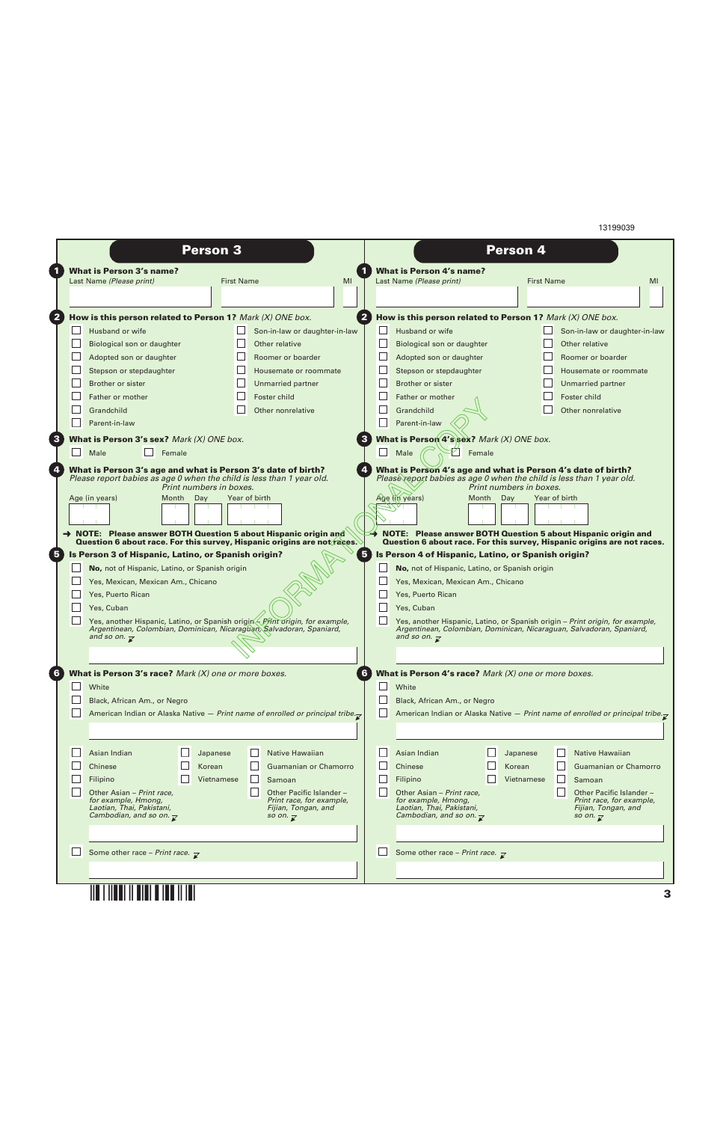|                                                                                                                                                                                                                                                                     | <b>Person 3</b>      |                                                        |    |                             |                                                                                                                                                                                                                                                                       |        | <b>Person 4</b>         |               |                                                       |  |
|---------------------------------------------------------------------------------------------------------------------------------------------------------------------------------------------------------------------------------------------------------------------|----------------------|--------------------------------------------------------|----|-----------------------------|-----------------------------------------------------------------------------------------------------------------------------------------------------------------------------------------------------------------------------------------------------------------------|--------|-------------------------|---------------|-------------------------------------------------------|--|
| <b>What is Person 3's name?</b>                                                                                                                                                                                                                                     |                      |                                                        |    |                             | <b>What is Person 4's name?</b>                                                                                                                                                                                                                                       |        |                         |               |                                                       |  |
| Last Name (Please print)                                                                                                                                                                                                                                            | <b>First Name</b>    |                                                        | MI |                             | Last Name (Please print)                                                                                                                                                                                                                                              |        | <b>First Name</b>       |               |                                                       |  |
|                                                                                                                                                                                                                                                                     |                      |                                                        |    |                             |                                                                                                                                                                                                                                                                       |        |                         |               |                                                       |  |
| How is this person related to Person 1? Mark $(X)$ ONE box.                                                                                                                                                                                                         |                      |                                                        |    |                             | How is this person related to Person 1? Mark (X) ONE box.                                                                                                                                                                                                             |        |                         |               |                                                       |  |
| Husband or wife                                                                                                                                                                                                                                                     |                      | Son-in-law or daughter-in-law                          |    | $\mathbb{R}^n$              | Husband or wife                                                                                                                                                                                                                                                       |        |                         |               | Son-in-law or daughter-in-law                         |  |
| Biological son or daughter                                                                                                                                                                                                                                          |                      | Other relative                                         |    | $\mathcal{L}_{\mathcal{A}}$ | Biological son or daughter                                                                                                                                                                                                                                            |        |                         |               | Other relative                                        |  |
| Adopted son or daughter                                                                                                                                                                                                                                             |                      | Roomer or boarder                                      |    | $\mathbf{I}$                | Adopted son or daughter                                                                                                                                                                                                                                               |        |                         |               | Roomer or boarder                                     |  |
| Stepson or stepdaughter                                                                                                                                                                                                                                             |                      | Housemate or roommate                                  |    |                             | Stepson or stepdaughter                                                                                                                                                                                                                                               |        |                         |               | Housemate or roommate                                 |  |
| Brother or sister                                                                                                                                                                                                                                                   |                      | <b>Unmarried partner</b>                               |    |                             | <b>Brother or sister</b>                                                                                                                                                                                                                                              |        |                         |               | Unmarried partner                                     |  |
| Father or mother                                                                                                                                                                                                                                                    |                      | Foster child                                           |    | L.                          | Father or mother                                                                                                                                                                                                                                                      |        |                         |               | Foster child                                          |  |
| Grandchild                                                                                                                                                                                                                                                          |                      | Other nonrelative                                      |    | $\mathbf{L}$                | Grandchild                                                                                                                                                                                                                                                            |        |                         |               | Other nonrelative                                     |  |
| Parent-in-law                                                                                                                                                                                                                                                       |                      |                                                        |    | $\mathbf{L}$                | Parent-in-law                                                                                                                                                                                                                                                         |        |                         |               |                                                       |  |
| What is Person 3's sex? Mark $(X)$ ONE box.                                                                                                                                                                                                                         |                      |                                                        |    |                             | What is Person 4's sex? Mark (X) ONE box.                                                                                                                                                                                                                             |        |                         |               |                                                       |  |
| Male<br>Female                                                                                                                                                                                                                                                      |                      |                                                        |    | $\vert \ \ \vert$           | Male                                                                                                                                                                                                                                                                  | Female |                         |               |                                                       |  |
|                                                                                                                                                                                                                                                                     |                      |                                                        |    |                             |                                                                                                                                                                                                                                                                       |        |                         |               |                                                       |  |
| What is Person 3's age and what is Person 3's date of birth?<br>Please report babies as age 0 when the child is less than 1 year old.                                                                                                                               |                      |                                                        |    |                             | What is Person 4's age and what is Person 4's date of birth?<br>Please report babies as age 0 when the child is less than 1 year old.                                                                                                                                 |        |                         |               |                                                       |  |
| Print numbers in boxes.                                                                                                                                                                                                                                             |                      |                                                        |    |                             |                                                                                                                                                                                                                                                                       |        | Print numbers in boxes. |               |                                                       |  |
| Age (in years)<br>Day<br><b>Month</b>                                                                                                                                                                                                                               | Year of birth        |                                                        |    |                             | Age (in years)                                                                                                                                                                                                                                                        | Month  | Day                     | Year of birth |                                                       |  |
|                                                                                                                                                                                                                                                                     |                      |                                                        |    |                             |                                                                                                                                                                                                                                                                       |        |                         |               |                                                       |  |
| A NOTE: Please answer BOTH Question 5 about Hispanic origin and                                                                                                                                                                                                     |                      |                                                        |    | $\rightarrow$               | NOTE: Please answer BOTH Question 5 about Hispanic origin and                                                                                                                                                                                                         |        |                         |               |                                                       |  |
| No, not of Hispanic, Latino, or Spanish origin                                                                                                                                                                                                                      |                      |                                                        |    |                             | No, not of Hispanic, Latino, or Spanish origin                                                                                                                                                                                                                        |        |                         |               |                                                       |  |
| Yes, Mexican, Mexican Am., Chicano<br>Yes, Puerto Rican<br>Yes, Cuban<br>Yes, another Hispanic, Latino, or Spanish origin Print origin, for example,<br>Argentinean, Colombian, Dominican, Nicaraguan, Salvadoran, Spaniard,<br>and so on. $\overline{\mathcal{X}}$ |                      |                                                        |    | $\mathbf{L}$                | Yes, Mexican, Mexican Am., Chicano<br>Yes, Puerto Rican<br>Yes, Cuban<br>Yes, another Hispanic, Latino, or Spanish origin - Print origin, for example,<br>Argentinean, Colombian, Dominican, Nicaraguan, Salvadoran, Spaniard,<br>and so on. $\overline{\mathcal{X}}$ |        |                         |               |                                                       |  |
|                                                                                                                                                                                                                                                                     |                      |                                                        |    |                             |                                                                                                                                                                                                                                                                       |        |                         |               |                                                       |  |
| What is Person 3's race? Mark $(X)$ one or more boxes.                                                                                                                                                                                                              |                      |                                                        |    |                             | What is Person 4's race? Mark $(X)$ one or more boxes.                                                                                                                                                                                                                |        |                         |               |                                                       |  |
| White                                                                                                                                                                                                                                                               |                      |                                                        |    | $\Box$                      | White                                                                                                                                                                                                                                                                 |        |                         |               |                                                       |  |
| Black, African Am., or Negro                                                                                                                                                                                                                                        |                      |                                                        |    |                             | Black, African Am., or Negro                                                                                                                                                                                                                                          |        |                         |               |                                                       |  |
| American Indian or Alaska Native - Print name of enrolled or principal tribe.                                                                                                                                                                                       |                      |                                                        |    | $\Box$                      | American Indian or Alaska Native - Print name of enrolled or principal tribe.                                                                                                                                                                                         |        |                         |               |                                                       |  |
|                                                                                                                                                                                                                                                                     |                      |                                                        |    |                             |                                                                                                                                                                                                                                                                       |        |                         |               |                                                       |  |
|                                                                                                                                                                                                                                                                     |                      |                                                        |    |                             |                                                                                                                                                                                                                                                                       |        |                         |               |                                                       |  |
| Asian Indian                                                                                                                                                                                                                                                        | Japanese<br>$\Box$   | Native Hawaiian                                        |    |                             | Asian Indian                                                                                                                                                                                                                                                          |        | Japanese                |               | Native Hawaiian                                       |  |
| Chinese<br>Korean                                                                                                                                                                                                                                                   |                      | Guamanian or Chamorro                                  |    |                             | Chinese                                                                                                                                                                                                                                                               |        | Korean                  |               | Guamanian or Chamorro                                 |  |
| Filipino                                                                                                                                                                                                                                                            | $\Box$<br>Vietnamese | Samoan                                                 |    |                             | Filipino                                                                                                                                                                                                                                                              |        | Vietnamese              |               | Samoan                                                |  |
| Other Asian - Print race,<br>for example, Hmong,                                                                                                                                                                                                                    |                      | Other Pacific Islander -<br>Print race, for example,   |    |                             | Other Asian - Print race,<br>for example, Hmong,                                                                                                                                                                                                                      |        |                         |               | Other Pacific Islander -<br>Print race, for example,  |  |
| Laotian, Thai, Pakistani,<br>Cambodian, and so on. $\overline{\mathcal{X}}$                                                                                                                                                                                         |                      | Fijian, Tongan, and<br>so on. $\overline{\mathcal{K}}$ |    |                             | Laotian, Thai, Pakistani,<br>Cambodian, and so on. $\overline{\mathcal{X}}$                                                                                                                                                                                           |        |                         |               | Fijian, Tongan, and<br>so on. $\overline{\mathbf{x}}$ |  |
|                                                                                                                                                                                                                                                                     |                      |                                                        |    |                             |                                                                                                                                                                                                                                                                       |        |                         |               |                                                       |  |
|                                                                                                                                                                                                                                                                     |                      |                                                        |    |                             |                                                                                                                                                                                                                                                                       |        |                         |               |                                                       |  |
| Some other race - Print race. $\overline{\mathcal{L}}$                                                                                                                                                                                                              |                      |                                                        |    | ப                           | Some other race - Print race. $\overline{\mathcal{L}}$                                                                                                                                                                                                                |        |                         |               |                                                       |  |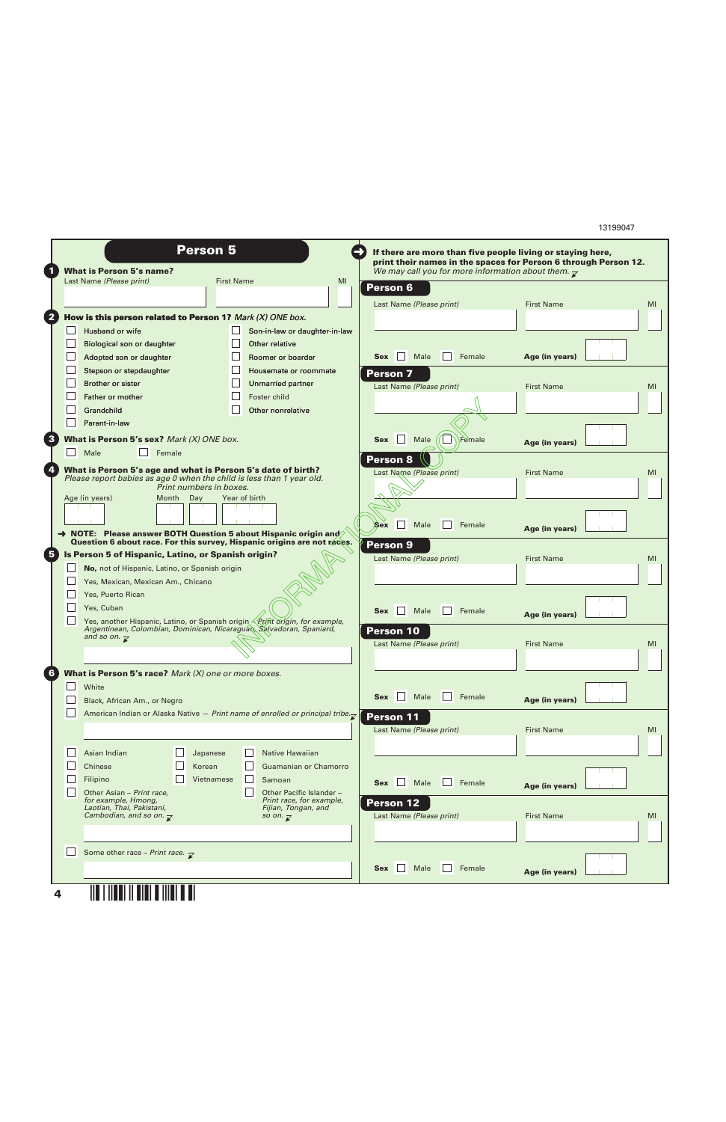|                                                             |                                                | <b>Person 5</b>                                                                                                                                           |                          |                                    | If there are more than five people living or staying here,<br>print their names in the spaces for Person 6 through Person 12. |  |
|-------------------------------------------------------------|------------------------------------------------|-----------------------------------------------------------------------------------------------------------------------------------------------------------|--------------------------|------------------------------------|-------------------------------------------------------------------------------------------------------------------------------|--|
| <b>What is Person 5's name?</b><br>Last Name (Please print) |                                                | <b>First Name</b>                                                                                                                                         | MI                       |                                    | We may call you for more information about them. $\nabla$                                                                     |  |
|                                                             |                                                |                                                                                                                                                           | Person 6                 |                                    |                                                                                                                               |  |
|                                                             |                                                |                                                                                                                                                           | Last Name (Please print) |                                    | <b>First Name</b>                                                                                                             |  |
| How is this person related to Person 1? Mark (X) ONE box.   |                                                |                                                                                                                                                           |                          |                                    |                                                                                                                               |  |
| Husband or wife                                             |                                                | Son-in-law or daughter-in-law                                                                                                                             |                          |                                    |                                                                                                                               |  |
| Biological son or daughter                                  |                                                | Other relative                                                                                                                                            |                          |                                    |                                                                                                                               |  |
| Adopted son or daughter                                     |                                                | Roomer or boarder                                                                                                                                         | Sex Male                 | $\Box$ Female                      | Age (in years)                                                                                                                |  |
| Stepson or stepdaughter                                     |                                                | Housemate or roommate                                                                                                                                     |                          |                                    |                                                                                                                               |  |
| Brother or sister                                           |                                                | <b>Unmarried partner</b>                                                                                                                                  | <b>Person 7</b>          |                                    |                                                                                                                               |  |
| Father or mother                                            |                                                | Foster child                                                                                                                                              | Last Name (Please print) |                                    | <b>First Name</b>                                                                                                             |  |
| Grandchild                                                  |                                                | Other nonrelative                                                                                                                                         |                          |                                    |                                                                                                                               |  |
| Parent-in-law                                               |                                                |                                                                                                                                                           |                          |                                    |                                                                                                                               |  |
|                                                             |                                                |                                                                                                                                                           |                          |                                    |                                                                                                                               |  |
| What is Person 5's sex? Mark (X) ONE box.                   |                                                |                                                                                                                                                           | Male<br>$Sex$ $\Box$     | Female                             | Age (in years)                                                                                                                |  |
| Male<br>$\Box$                                              | $\Box$ Female                                  |                                                                                                                                                           | <b>Person 8</b>          |                                    |                                                                                                                               |  |
|                                                             |                                                | What is Person 5's age and what is Person 5's date of birth?                                                                                              | Last Name (Please print) |                                    | <b>First Name</b>                                                                                                             |  |
|                                                             | Print numbers in boxes.                        | Please report babies as age 0 when the child is less than 1 year old.                                                                                     |                          |                                    |                                                                                                                               |  |
| Age (in years)                                              | Month<br>Day                                   | Year of birth                                                                                                                                             |                          |                                    |                                                                                                                               |  |
|                                                             |                                                |                                                                                                                                                           |                          |                                    |                                                                                                                               |  |
|                                                             |                                                |                                                                                                                                                           | <b>Sex</b><br>Male       | Female                             |                                                                                                                               |  |
|                                                             |                                                | A NOTE: Please answer BOTH Question 5 about Hispanic origin and                                                                                           |                          |                                    | Age (in years)                                                                                                                |  |
|                                                             |                                                | Question 6 about race. For this survey, Hispanic origins are not races.                                                                                   | Person 9                 |                                    |                                                                                                                               |  |
| Is Person 5 of Hispanic, Latino, or Spanish origin?         |                                                |                                                                                                                                                           | Last Name (Please print) |                                    | <b>First Name</b>                                                                                                             |  |
|                                                             | No, not of Hispanic, Latino, or Spanish origin |                                                                                                                                                           |                          |                                    |                                                                                                                               |  |
|                                                             | Yes, Mexican, Mexican Am., Chicano             |                                                                                                                                                           |                          |                                    |                                                                                                                               |  |
| Yes, Puerto Rican                                           |                                                |                                                                                                                                                           |                          |                                    |                                                                                                                               |  |
|                                                             |                                                |                                                                                                                                                           |                          |                                    |                                                                                                                               |  |
| Yes, Cuban                                                  |                                                |                                                                                                                                                           | Male<br>Sex              | $\overline{\phantom{a}}$<br>Female | Age (in years)                                                                                                                |  |
|                                                             |                                                |                                                                                                                                                           |                          |                                    |                                                                                                                               |  |
| and so on. $\overline{\mathcal{X}}$                         |                                                | Yes, another Hispanic, Latino, or Spanish origin <i>(Prifit origin, for example, Argentinean, Colombian, Dominican, Nicaraguan, Salvadoran, Spaniard,</i> | Person 10                |                                    |                                                                                                                               |  |
|                                                             |                                                |                                                                                                                                                           | Last Name (Please print) |                                    | <b>First Name</b>                                                                                                             |  |
|                                                             |                                                |                                                                                                                                                           |                          |                                    |                                                                                                                               |  |
| What is Person 5's race? Mark $(X)$ one or more boxes.      |                                                |                                                                                                                                                           |                          |                                    |                                                                                                                               |  |
| White                                                       |                                                |                                                                                                                                                           |                          |                                    |                                                                                                                               |  |
| Black, African Am., or Negro                                |                                                |                                                                                                                                                           | Male<br>$Sex$            | Female                             | Age (in years)                                                                                                                |  |
|                                                             |                                                | American Indian or Alaska Native - Print name of enrolled or principal tribe. $\mathcal{F}$                                                               | <b>Person 11</b>         |                                    |                                                                                                                               |  |
|                                                             |                                                |                                                                                                                                                           | Last Name (Please print) |                                    | <b>First Name</b>                                                                                                             |  |
|                                                             |                                                |                                                                                                                                                           |                          |                                    |                                                                                                                               |  |
| Asian Indian                                                | Japanese                                       | $\Box$<br>Native Hawaiian                                                                                                                                 |                          |                                    |                                                                                                                               |  |
| Chinese                                                     | Korean                                         | Guamanian or Chamorro                                                                                                                                     |                          |                                    |                                                                                                                               |  |
| Filipino                                                    | Vietnamese                                     | Samoan                                                                                                                                                    | Male<br>Sex              | Female                             |                                                                                                                               |  |
| Other Asian - Print race,                                   |                                                | Other Pacific Islander -                                                                                                                                  |                          |                                    | Age (in years)                                                                                                                |  |
| for example, Hmong,<br>Laotian, Thai, Pakistani,            |                                                | Print race, for example,<br>Fijian, Tongan, and                                                                                                           | Person 12                |                                    |                                                                                                                               |  |
| Cambodian, and so on. $\overline{\mathcal{X}}$              |                                                | so on. $\overline{\mathcal{K}}$                                                                                                                           | Last Name (Please print) |                                    | <b>First Name</b>                                                                                                             |  |
|                                                             |                                                |                                                                                                                                                           |                          |                                    |                                                                                                                               |  |
|                                                             |                                                |                                                                                                                                                           |                          |                                    |                                                                                                                               |  |
| Some other race - Print race. $\sqrt{\ }$                   |                                                |                                                                                                                                                           | Male<br>$Sex$ $\Box$     | $\mathbf{L}$<br>Female             |                                                                                                                               |  |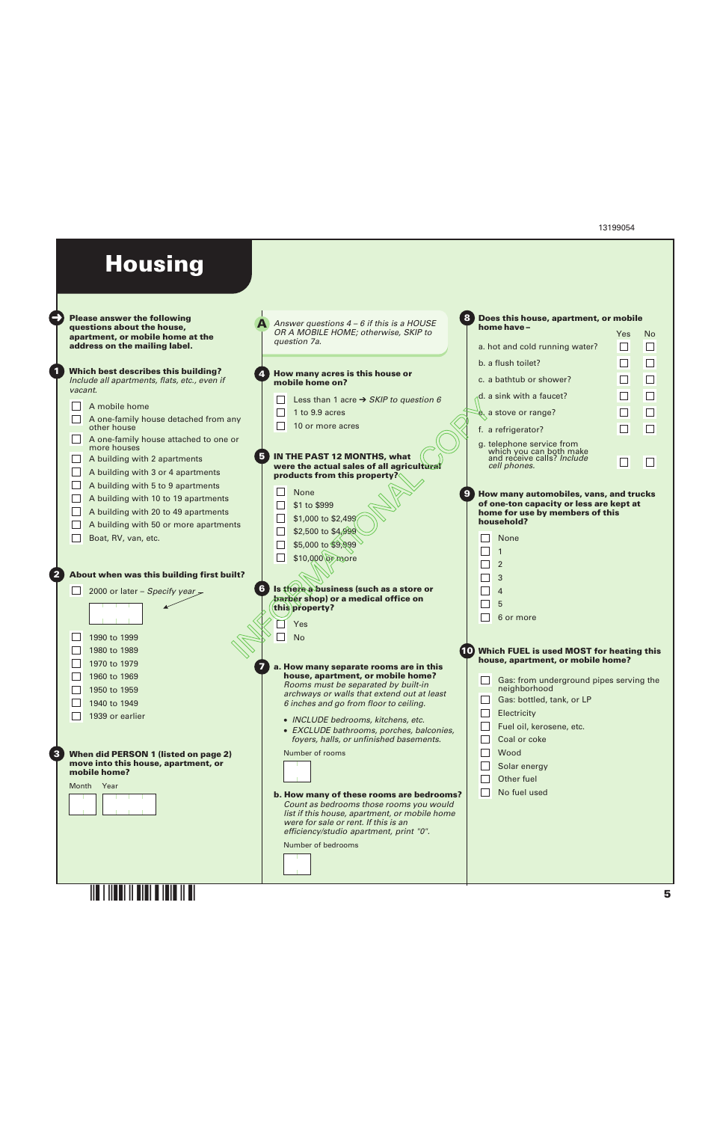Yes No

 $\Box$ 

П

 $\Box$  $\Box$ 

П

П

П

 $\Box$ 

 $\Box$ 

П

 $\Box$ 

 $\Box$ 

П

П

#### **Housing** ➜ **Does this house, apartment, or mobile 8 A Please answer the following** *Answer questions 4 – 6 if this is a HOUSE* **questions about the house, home have –** *OR A MOBILE HOME; otherwise, SKIP to* **apartment, or mobile home at the** *question 7a.* **address on the mailing label.** a. hot and cold running water? b. a flush toilet? **1 Which best describes this building? How many acres is this house or 4** *Include all apartments, flats, etc., even if* c. a bathtub or shower? **mobile home on?** *vacant.* d. a sink with a faucet? Less than 1 acre ➔ *SKIP to question 6* 10<br>
I Less than 1 acre → *SKIP* to question 6<br>
10 or more acres<br>
10 or more acres<br>
I **IN THE PAST 12 MONTHS, what**<br>
were the actual sales of all agricultured<br>
Products from this property?<br>
I None<br>
I St 1.0 00 to \$2,499<br>
I П A mobile home 1 to 9.9 acres  $\mathbf e$  a stove or range?  $\Box$ A one-family house detached from any □ 10 or more acres other house f. a refrigerator?  $\Box$ A one-family house attached to one or g. telephone service from which you can both make more houses **5 IN THE PAST 12 MONTHS, what** П A building with 2 apartments and receive calls? *Include* **were the actual sales of all agricultural** *cell phones.*  $\Box$ A building with 3 or 4 apartments **products from this property?**  $\Box$ A building with 5 to 9 apartments None **9 How many automobiles, vans, and trucks** A building with 10 to 19 apartments **of one-ton capacity or less are kept at**  $\Box$  \$1 to \$999  $\Box$ A building with 20 to 49 apartments **home for use by members of this**  $\sqrt{51,000}$  to \$2,499 **household?** П A building with 50 or more apartments  $\Box$  \$2,500 to \$4,999  $\Box$ Boat, RV, van, etc. None \$5,000 to \$9,999 1 \$10,000 or more 2 **2 About when was this building first built?** 3 **6 Is there a business (such as a store or** 2000 or later – *Specify year* 4 **barber shop) or a medical office on** 5 **this property?** 6 or more Yes  $\Box$ 1990 to 1999 No  $\Box$ 1980 to 1989 **Which FUEL is used MOST for heating this house, apartment, or mobile home?**  $\Box$ 1970 to 1979 **7 a. How many separate rooms are in this**  $\Box$ 1960 to 1969 **house, apartment, or mobile home?**  $\Box$ Gas: from underground pipes serving the *Rooms must be separated by built-in*  $\Box$ neighborhood 1950 to 1959 *archways or walls that extend out at least* Gas: bottled, tank, or LP  $\Box$ 1940 to 1949 *6 inches and go from floor to ceiling.* Electricity  $\Box$ 1939 or earlier • *INCLUDE bedrooms, kitchens, etc.*  $\Box$ Fuel oil, kerosene, etc. • *EXCLUDE bathrooms, porches, balconies, foyers, halls, or unfinished basements.*  $\Box$ Coal or coke Number of rooms  $\Box$ Wood **3 When did PERSON 1 (listed on page 2) move into this house, apartment, or**  $\Box$ Solar energy **mobile home?**  $\Box$ Other fuel Month Year  $\Box$ No fuel used **b. How many of these rooms are bedrooms?** *Count as bedrooms those rooms you would list if this house, apartment, or mobile home were for sale or rent. If this is an efficiency/studio apartment, print "0".* Number of bedrooms

**§.4{W¤**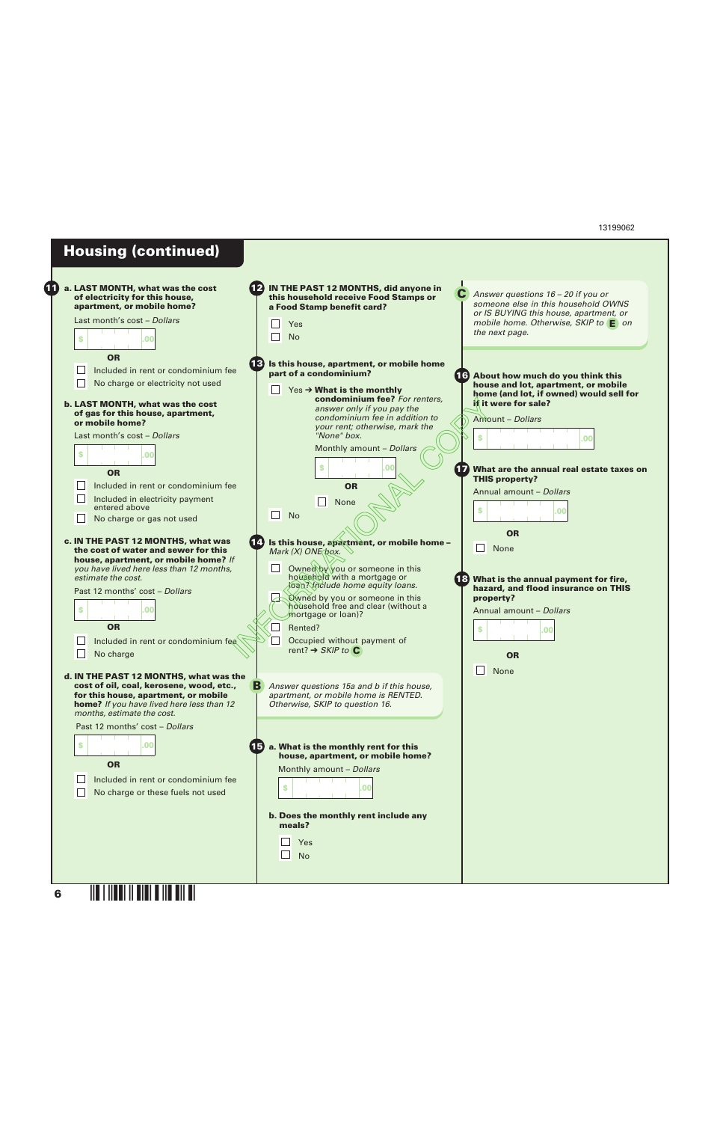### **Housing (continued)**

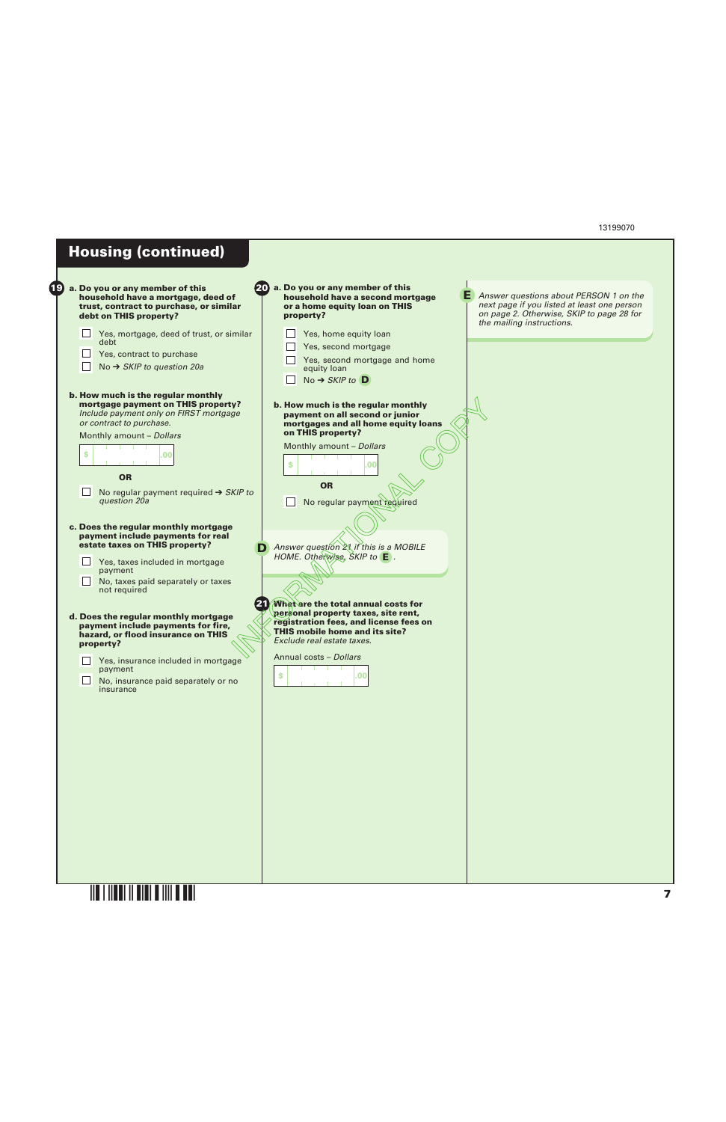## **Housing (continued)**

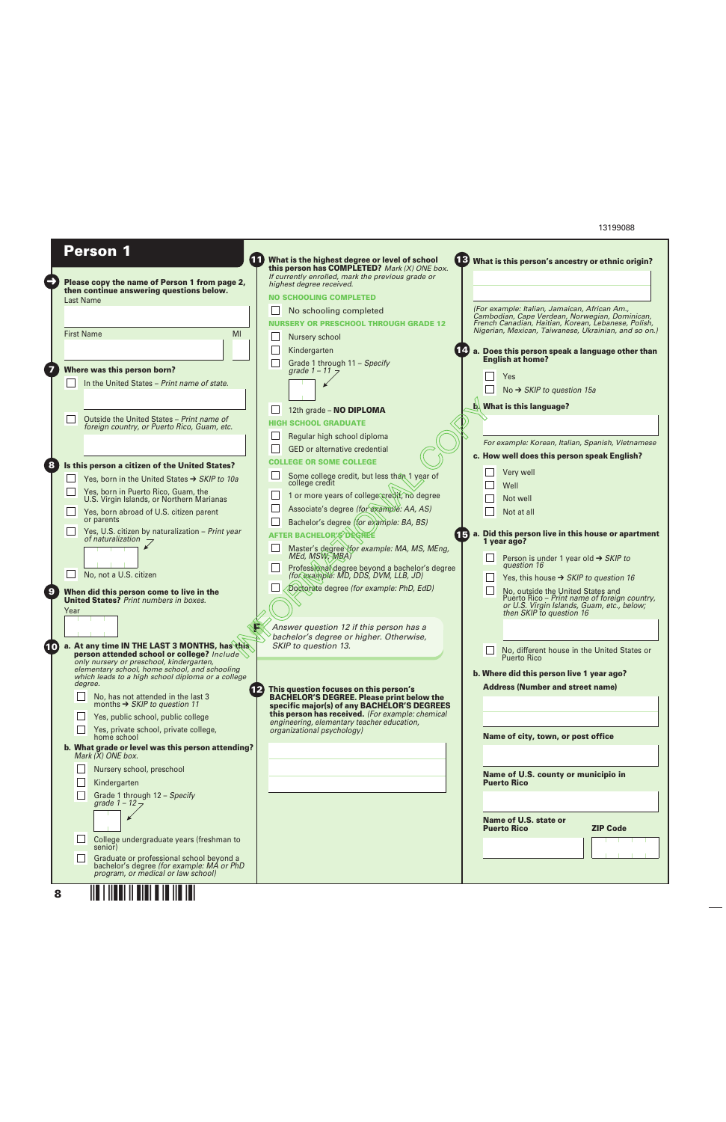|                         | <b>Person 1</b><br>Please copy the name of Person 1 from page 2,<br>then continue answering questions below.<br><b>Last Name</b>                           | What is the highest degree or level of school<br>this person has COMPLETED? Mark (X) ONE box.<br>If currently enrolled, mark the previous grade or<br>highest degree received.<br><b>NO SCHOOLING COMPLETED</b> | 13 What is this person's ancestry or ethnic origin?                                                                                                                   |
|-------------------------|------------------------------------------------------------------------------------------------------------------------------------------------------------|-----------------------------------------------------------------------------------------------------------------------------------------------------------------------------------------------------------------|-----------------------------------------------------------------------------------------------------------------------------------------------------------------------|
|                         |                                                                                                                                                            | No schooling completed                                                                                                                                                                                          | (For example: Italian, Jamaican, African Am.,<br>Cambodian, Cape Verdean, Norwegian, Dominican,                                                                       |
|                         |                                                                                                                                                            | <b>NURSERY OR PRESCHOOL THROUGH GRADE 12</b>                                                                                                                                                                    | French Canadian, Haitian, Korean, Lebanese, Polish,<br>Nigerian, Mexican, Taiwanese, Ukrainian, and so on.)                                                           |
|                         | <b>First Name</b><br>MI                                                                                                                                    | Nursery school<br>$\mathbf{I}$                                                                                                                                                                                  |                                                                                                                                                                       |
|                         |                                                                                                                                                            | Kindergarten                                                                                                                                                                                                    | 14 a. Does this person speak a language other than<br><b>English at home?</b>                                                                                         |
| $\overline{\mathbf{z}}$ | Where was this person born?                                                                                                                                | Grade 1 through 11 - Specify<br>grade 1 – 11                                                                                                                                                                    |                                                                                                                                                                       |
|                         | In the United States - Print name of state.                                                                                                                |                                                                                                                                                                                                                 | Yes                                                                                                                                                                   |
|                         |                                                                                                                                                            |                                                                                                                                                                                                                 | No $\rightarrow$ SKIP to question 15a                                                                                                                                 |
|                         |                                                                                                                                                            | 12th grade - NO DIPLOMA                                                                                                                                                                                         | <b>b.</b> What is this language?                                                                                                                                      |
|                         | Outside the United States - Print name of<br>foreign country, or Puerto Rico, Guam, etc.                                                                   | <b>HIGH SCHOOL GRADUATE</b>                                                                                                                                                                                     |                                                                                                                                                                       |
|                         |                                                                                                                                                            | Regular high school diploma                                                                                                                                                                                     |                                                                                                                                                                       |
|                         |                                                                                                                                                            | <b>GED</b> or alternative credential                                                                                                                                                                            | For example: Korean, Italian, Spanish, Vietnamese                                                                                                                     |
| 8                       | Is this person a citizen of the United States?                                                                                                             | <b>COLLEGE OR SOME COLLEGE</b>                                                                                                                                                                                  | c. How well does this person speak English?                                                                                                                           |
|                         | Yes, born in the United States → SKIP to 10a                                                                                                               | Some college credit, but less than 1 year of<br>$\mathbf{L}$                                                                                                                                                    | Very well                                                                                                                                                             |
|                         | ⊔<br>Yes, born in Puerto Rico, Guam, the<br>U.S. Virgin Islands, or Northern Marianas                                                                      | college credit<br>1 or more years of college credit, no degree                                                                                                                                                  | Well                                                                                                                                                                  |
|                         |                                                                                                                                                            | Associate's degree (for example: AA, AS)                                                                                                                                                                        | Not well                                                                                                                                                              |
|                         | Yes, born abroad of U.S. citizen parent<br>or parents                                                                                                      | Bachelor's degree (for example: BA, BS)                                                                                                                                                                         | Not at all                                                                                                                                                            |
|                         | Yes, U.S. citizen by naturalization - Print year                                                                                                           | AFTER BACHELOR'S DEGREE                                                                                                                                                                                         | a. Did this person live in this house or apartment<br>(15)                                                                                                            |
|                         | of naturalization                                                                                                                                          |                                                                                                                                                                                                                 | 1 year ago?                                                                                                                                                           |
|                         |                                                                                                                                                            | Master's degree (for example: MA, MS, MEng,<br>MEd, MSW, MBA)                                                                                                                                                   | Person is under 1 year old $\rightarrow$ SKIP to                                                                                                                      |
|                         | $\perp$<br>No, not a U.S. citizen                                                                                                                          | Professional degree beyond a bachelor's degree<br>(for example: MD, DDS, DVM, LLB, JD)                                                                                                                          | question 16                                                                                                                                                           |
|                         |                                                                                                                                                            | Doctorate degree (for example: PhD, EdD)                                                                                                                                                                        | Yes, this house $\rightarrow$ SKIP to question 16                                                                                                                     |
| $\bullet$               | When did this person come to live in the<br><b>United States?</b> Print numbers in boxes.<br>Year                                                          |                                                                                                                                                                                                                 | No, outside the United States and<br>$\Box$<br>Puerto Rico - Print name of foreign country,<br>or U.S. Virgin Islands, Guam, etc., below;<br>then SKIP to question 16 |
|                         |                                                                                                                                                            | Answer question 12 if this person has a                                                                                                                                                                         |                                                                                                                                                                       |
|                         | 10 a. At any time IN THE LAST 3 MONTHS, has this                                                                                                           | bachelor's degree or higher. Otherwise,<br>SKIP to question 13.                                                                                                                                                 |                                                                                                                                                                       |
|                         | person attended school or college? Include                                                                                                                 |                                                                                                                                                                                                                 | No, different house in the United States or<br>Puerto Rico                                                                                                            |
|                         | only nursery or preschool, kindergarten,<br>elementary school, home school, and schooling<br>which leads to a high school diploma or a college             |                                                                                                                                                                                                                 | b. Where did this person live 1 year ago?                                                                                                                             |
|                         | degree.                                                                                                                                                    | $\overline{12}$<br>This question focuses on this person's                                                                                                                                                       | <b>Address (Number and street name)</b>                                                                                                                               |
|                         | $\Box$<br>No, has not attended in the last 3<br>months $\rightarrow$ SKIP to question 11                                                                   | <b>BACHELOR'S DEGREE. Please print below the</b><br>specific major(s) of any BACHELOR'S DEGREES                                                                                                                 |                                                                                                                                                                       |
|                         | Yes, public school, public college<br>$\Box$                                                                                                               | this person has received. (For example: chemical                                                                                                                                                                |                                                                                                                                                                       |
|                         | Yes, private school, private college,                                                                                                                      | engineering, elementary teacher education,<br>organizational psychology)                                                                                                                                        |                                                                                                                                                                       |
|                         | home school<br>b. What grade or level was this person attending?<br>Mark $(X)$ ONE box.                                                                    |                                                                                                                                                                                                                 | Name of city, town, or post office                                                                                                                                    |
|                         | $\Box$<br>Nursery school, preschool                                                                                                                        |                                                                                                                                                                                                                 |                                                                                                                                                                       |
|                         | $\mathbf{L}$<br>Kindergarten                                                                                                                               |                                                                                                                                                                                                                 | Name of U.S. county or municipio in<br><b>Puerto Rico</b>                                                                                                             |
|                         | Grade 1 through 12 - Specify                                                                                                                               |                                                                                                                                                                                                                 |                                                                                                                                                                       |
|                         | grade 1 – 12 –                                                                                                                                             |                                                                                                                                                                                                                 |                                                                                                                                                                       |
|                         |                                                                                                                                                            |                                                                                                                                                                                                                 | Name of U.S. state or<br><b>Puerto Rico</b><br><b>ZIP Code</b>                                                                                                        |
|                         | ⊔<br>College undergraduate years (freshman to<br>senior)                                                                                                   |                                                                                                                                                                                                                 |                                                                                                                                                                       |
|                         | $\mathcal{L}_{\mathcal{A}}$<br>Graduate or professional school beyond a<br>bachelor's degree (for example: MA or PhD<br>program, or medical or law school) |                                                                                                                                                                                                                 |                                                                                                                                                                       |
| 8                       |                                                                                                                                                            |                                                                                                                                                                                                                 |                                                                                                                                                                       |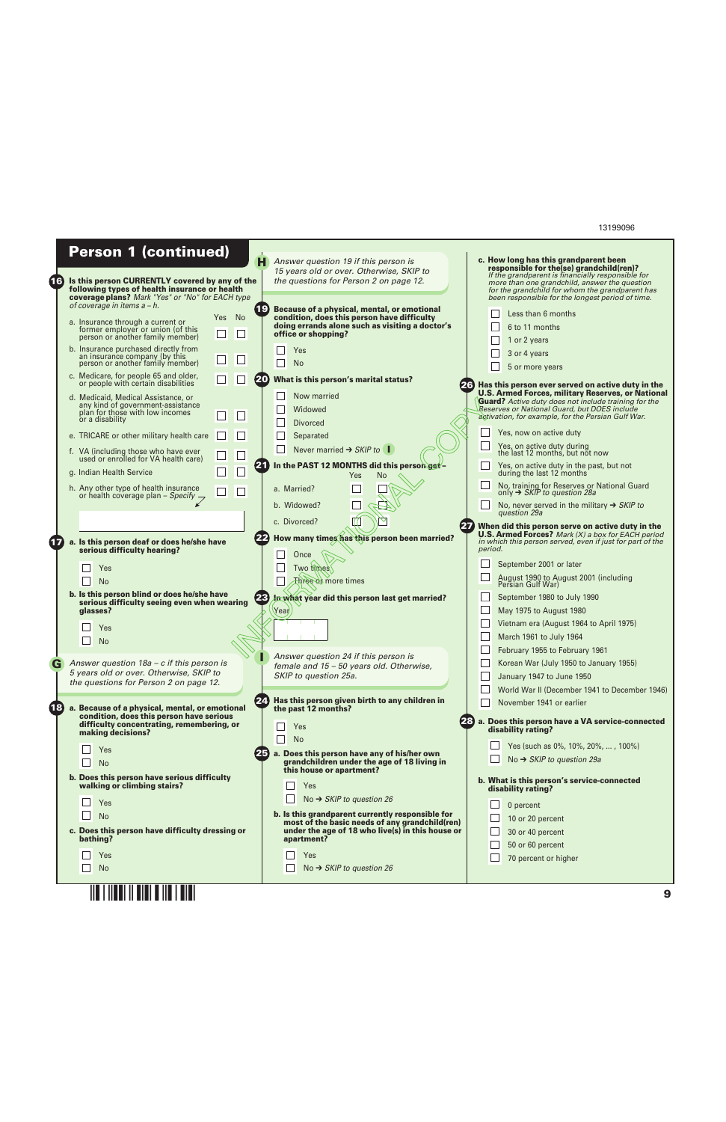|           | <b>Person 1 (continued)</b>                                                                                                                                                                                                                                                                                                                                                                                                                                                                                                                                         |                                                            | H<br>Answer question 19 if this person is                                                                                                                                                                                                                                                                                                                               | c. How long has this grandparent been                                                                                                                                                                                                                                                                                                                                                                                                                                                                                                                                                                                                                                                                                                                                                                                                                                                                                                |
|-----------|---------------------------------------------------------------------------------------------------------------------------------------------------------------------------------------------------------------------------------------------------------------------------------------------------------------------------------------------------------------------------------------------------------------------------------------------------------------------------------------------------------------------------------------------------------------------|------------------------------------------------------------|-------------------------------------------------------------------------------------------------------------------------------------------------------------------------------------------------------------------------------------------------------------------------------------------------------------------------------------------------------------------------|--------------------------------------------------------------------------------------------------------------------------------------------------------------------------------------------------------------------------------------------------------------------------------------------------------------------------------------------------------------------------------------------------------------------------------------------------------------------------------------------------------------------------------------------------------------------------------------------------------------------------------------------------------------------------------------------------------------------------------------------------------------------------------------------------------------------------------------------------------------------------------------------------------------------------------------|
| 【16】      | Is this person CURRENTLY covered by any of the<br>following types of health insurance or health<br>coverage plans? Mark "Yes" or "No" for EACH type                                                                                                                                                                                                                                                                                                                                                                                                                 |                                                            | 15 years old or over. Otherwise, SKIP to<br>the questions for Person 2 on page 12.                                                                                                                                                                                                                                                                                      | responsible for the(se) grandchild(ren)?<br>If the grandparent is financially responsible for<br>more than one grandchild, answer the question<br>for the grandchild for whom the grandparent has<br>been responsible for the longest period of time.                                                                                                                                                                                                                                                                                                                                                                                                                                                                                                                                                                                                                                                                                |
|           | of coverage in items a - h.<br>a. Insurance through a current or<br>former employer or union (of this<br>person or another family member)<br>b. Insurance purchased directly from<br>an insurance company (by this                                                                                                                                                                                                                                                                                                                                                  | No<br>Yes:<br>$\Box$<br>$\Box$<br>$\Box$<br>$\Box$         | (19)<br>Because of a physical, mental, or emotional<br>condition, does this person have difficulty<br>doing errands alone such as visiting a doctor's<br>office or shopping?<br>Yes                                                                                                                                                                                     | Less than 6 months<br>6 to 11 months<br>1 or 2 years<br>3 or 4 years                                                                                                                                                                                                                                                                                                                                                                                                                                                                                                                                                                                                                                                                                                                                                                                                                                                                 |
|           | person or another family member)                                                                                                                                                                                                                                                                                                                                                                                                                                                                                                                                    |                                                            | <b>No</b>                                                                                                                                                                                                                                                                                                                                                               | 5 or more years                                                                                                                                                                                                                                                                                                                                                                                                                                                                                                                                                                                                                                                                                                                                                                                                                                                                                                                      |
| <b>17</b> | c. Medicare, for people 65 and older,<br>or people with certain disabilities<br>d. Medicaid, Medical Assistance, or<br>any kind of government-assistance<br>plan for those with low incomes<br>or a disability<br>e. TRICARE or other military health care<br>f. VA (including those who have ever<br>used or enrolled for VA health care)<br>g. Indian Health Service<br>h. Any other type of health insurance<br>or health coverage plan - Specify $\rightarrow$<br>a. Is this person deaf or does he/she have<br>serious difficulty hearing?<br>Yes<br><b>No</b> | $\Box$<br>$\Box$<br>$\perp$<br>$\perp$<br>$\Box$<br>$\Box$ | 20<br>What is this person's marital status?<br>Now married<br>Widowed<br><b>Divorced</b><br>Separated<br>Never married $\rightarrow$ SKIP to $\Box$<br>In the PAST 12 MONTHS did this person get-<br>(21)<br>Yes<br><b>No</b><br>a. Married?<br>b. Widowed?<br>c. Divorced?<br>How many times has this person been married?<br>Once<br>Two times<br>Three of more times | Has this person ever served on active duty in the<br>26<br><b>U.S. Armed Forces, military Reserves, or National</b><br><b>Guard?</b> Active duty does not include training for the<br>Reserves or National Guard, but DOES include<br>activation, for example, for the Persian Gulf War.<br>Yes, now on active duty<br>Yes, on active duty during<br>the last 12 months, but not now<br>Yes, on active duty in the past, but not<br>$\Box$<br>during the last 12 months<br>No, training for Reserves or National Guard<br>only $\rightarrow$ SKIP to question 28a<br>No, never served in the military $\rightarrow$ SKIP to<br>question 29a<br>27<br>When did this person serve on active duty in the<br><b>U.S. Armed Forces?</b> Mark $(X)$ a box for EACH period<br>in which this person served, even if just for part of the<br>period.<br>September 2001 or later<br>August 1990 to August 2001 (including<br>Persian Gulf War) |
|           | b. Is this person blind or does he/she have<br>serious difficulty seeing even when wearing<br>glasses?<br>Yes<br>No<br>Answer question $18a - c$ if this person is                                                                                                                                                                                                                                                                                                                                                                                                  |                                                            | In what year did this person last get married?<br>23<br>Year<br>Answer question 24 if this person is<br>female and 15 - 50 years old. Otherwise,                                                                                                                                                                                                                        | September 1980 to July 1990<br>May 1975 to August 1980<br>$\overline{\phantom{a}}$<br>Vietnam era (August 1964 to April 1975)<br>March 1961 to July 1964<br>February 1955 to February 1961<br>Korean War (July 1950 to January 1955)                                                                                                                                                                                                                                                                                                                                                                                                                                                                                                                                                                                                                                                                                                 |
|           | 5 years old or over. Otherwise, SKIP to<br>the questions for Person 2 on page 12.                                                                                                                                                                                                                                                                                                                                                                                                                                                                                   |                                                            | SKIP to question 25a.                                                                                                                                                                                                                                                                                                                                                   | January 1947 to June 1950<br>$\Box$<br>World War II (December 1941 to December 1946)                                                                                                                                                                                                                                                                                                                                                                                                                                                                                                                                                                                                                                                                                                                                                                                                                                                 |
| (18)      | a. Because of a physical, mental, or emotional<br>condition, does this person have serious<br>difficulty concentrating, remembering, or<br>making decisions?                                                                                                                                                                                                                                                                                                                                                                                                        |                                                            | 24<br>Has this person given birth to any children in<br>the past 12 months?<br>Yes<br><b>No</b>                                                                                                                                                                                                                                                                         | November 1941 or earlier<br>a. Does this person have a VA service-connected<br>disability rating?<br>Yes (such as 0%, 10%, 20%, , 100%)                                                                                                                                                                                                                                                                                                                                                                                                                                                                                                                                                                                                                                                                                                                                                                                              |
|           | Yes<br><b>No</b><br>b. Does this person have serious difficulty                                                                                                                                                                                                                                                                                                                                                                                                                                                                                                     |                                                            | a. Does this person have any of his/her own<br>grandchildren under the age of 18 living in<br>this house or apartment?                                                                                                                                                                                                                                                  | No $\rightarrow$ SKIP to question 29a                                                                                                                                                                                                                                                                                                                                                                                                                                                                                                                                                                                                                                                                                                                                                                                                                                                                                                |
|           | walking or climbing stairs?<br>Yes<br><b>No</b><br>c. Does this person have difficulty dressing or<br>bathing?                                                                                                                                                                                                                                                                                                                                                                                                                                                      |                                                            | Yes<br>No $\rightarrow$ SKIP to question 26<br>b. Is this grandparent currently responsible for<br>most of the basic needs of any grandchild(ren)<br>under the age of 18 who live(s) in this house or<br>apartment?                                                                                                                                                     | b. What is this person's service-connected<br>disability rating?<br>0 percent<br>10 or 20 percent<br>30 or 40 percent<br>50 or 60 percent                                                                                                                                                                                                                                                                                                                                                                                                                                                                                                                                                                                                                                                                                                                                                                                            |
|           | Yes<br><b>No</b>                                                                                                                                                                                                                                                                                                                                                                                                                                                                                                                                                    |                                                            | Yes<br>No $\rightarrow$ SKIP to question 26                                                                                                                                                                                                                                                                                                                             | 70 percent or higher                                                                                                                                                                                                                                                                                                                                                                                                                                                                                                                                                                                                                                                                                                                                                                                                                                                                                                                 |
|           |                                                                                                                                                                                                                                                                                                                                                                                                                                                                                                                                                                     |                                                            |                                                                                                                                                                                                                                                                                                                                                                         |                                                                                                                                                                                                                                                                                                                                                                                                                                                                                                                                                                                                                                                                                                                                                                                                                                                                                                                                      |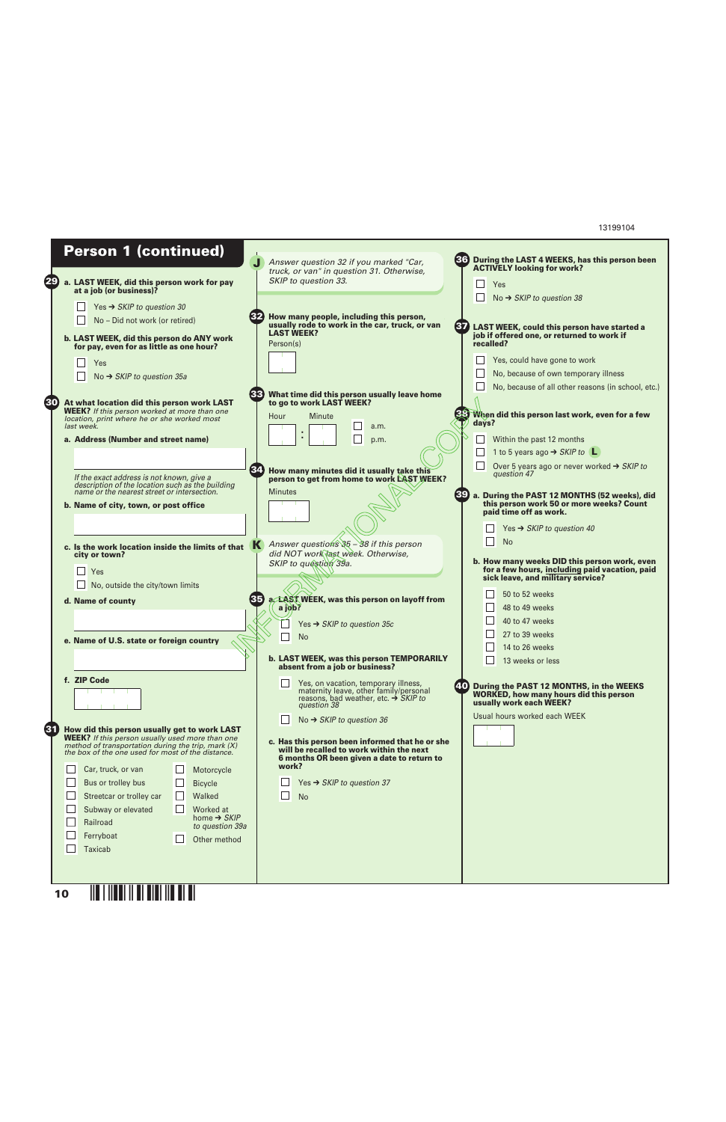| <b>Person 1 (continued)</b>                                                                                    |                                                                                                                                    |                                                                                                                                      |
|----------------------------------------------------------------------------------------------------------------|------------------------------------------------------------------------------------------------------------------------------------|--------------------------------------------------------------------------------------------------------------------------------------|
|                                                                                                                | Answer question 32 if you marked "Car,<br>truck, or van" in question 31. Otherwise,                                                | 36)<br>During the LAST 4 WEEKS, has this person been<br><b>ACTIVELY looking for work?</b>                                            |
| 29<br>a. LAST WEEK, did this person work for pay                                                               | SKIP to question 33.                                                                                                               | $\Box$<br>Yes                                                                                                                        |
| at a job (or business)?                                                                                        |                                                                                                                                    | No $\rightarrow$ SKIP to question 38                                                                                                 |
| Yes $\rightarrow$ SKIP to question 30<br>No - Did not work (or retired)                                        | How many people, including this person,                                                                                            |                                                                                                                                      |
|                                                                                                                | usually rode to work in the car, truck, or van<br><b>LAST WEEK?</b>                                                                | LAST WEEK, could this person have started a<br>job if offered one, or returned to work if                                            |
| b. LAST WEEK, did this person do ANY work<br>for pay, even for as little as one hour?                          | Person(s)                                                                                                                          | recalled?                                                                                                                            |
| Yes                                                                                                            |                                                                                                                                    | Yes, could have gone to work                                                                                                         |
| No $\rightarrow$ SKIP to question 35a                                                                          |                                                                                                                                    | L<br>No, because of own temporary illness<br>No, because of all other reasons (in school, etc.)                                      |
| 33<br>30<br>At what location did this person work LAST                                                         | What time did this person usually leave home<br>to go to work LAST WEEK?                                                           |                                                                                                                                      |
| <b>WEEK?</b> If this person worked at more than one<br>location, print where he or she worked most             | <b>Minute</b><br>Hour                                                                                                              | 28 When did this person last work, even for a few                                                                                    |
| last week.                                                                                                     | a.m.                                                                                                                               | days?                                                                                                                                |
| a. Address (Number and street name)                                                                            | p.m.                                                                                                                               | Within the past 12 months<br>$\Box$                                                                                                  |
|                                                                                                                |                                                                                                                                    | $\mathcal{L}_{\mathcal{A}}$<br>1 to 5 years ago $\rightarrow$ SKIP to $\Box$<br>$\Box$<br>Over 5 years ago or never worked → SKIP to |
| 34<br>If the exact address is not known, give a                                                                | How many minutes did it usually take this<br>person to get from home to work LAST WEEK?                                            | question 47                                                                                                                          |
| description of the location such as the building<br>name or the nearest street or intersection.                | <b>Minutes</b>                                                                                                                     | 39<br>a. During the PAST 12 MONTHS (52 weeks), did                                                                                   |
| b. Name of city, town, or post office                                                                          |                                                                                                                                    | this person work 50 or more weeks? Count<br>paid time off as work.                                                                   |
|                                                                                                                |                                                                                                                                    | Yes $\rightarrow$ SKIP to question 40                                                                                                |
| c. Is the work location inside the limits of that $\mathbf K$                                                  | Answer questions 35 - 38 if this person                                                                                            | <b>No</b>                                                                                                                            |
| city or town?                                                                                                  | did NOT work last week. Otherwise,<br>SKIP to question 39a.                                                                        | b. How many weeks DID this person work, even                                                                                         |
| $\vert \ \ \vert$<br>Yes                                                                                       |                                                                                                                                    | for a few hours, including paid vacation, paid<br>sick leave, and military service?                                                  |
| No, outside the city/town limits<br>85)                                                                        | a. LAST WEEK, was this person on layoff from                                                                                       | 50 to 52 weeks                                                                                                                       |
| d. Name of county                                                                                              | a job?                                                                                                                             | 48 to 49 weeks                                                                                                                       |
|                                                                                                                | Yes $\rightarrow$ SKIP to question 35c                                                                                             | 40 to 47 weeks                                                                                                                       |
| e. Name of U.S. state or foreign country                                                                       | <b>No</b>                                                                                                                          | 27 to 39 weeks<br>14 to 26 weeks                                                                                                     |
|                                                                                                                | b. LAST WEEK, was this person TEMPORARILY                                                                                          | 13 weeks or less                                                                                                                     |
| f. ZIP Code                                                                                                    | absent from a job or business?                                                                                                     |                                                                                                                                      |
|                                                                                                                | Yes, on vacation, temporary illness,<br>maternity leave, other family/personal<br>reasons, bad weather, etc. $\rightarrow$ SKIP to | During the PAST 12 MONTHS, in the WEEKS<br>40<br><b>WORKED, how many hours did this person</b>                                       |
|                                                                                                                | question 38                                                                                                                        | usually work each WEEK?<br>Usual hours worked each WEEK                                                                              |
| 81<br>How did this person usually get to work LAST                                                             | No $\rightarrow$ SKIP to question 36                                                                                               |                                                                                                                                      |
| <b>WEEK?</b> If this person usually used more than one<br>method of transportation during the trip, mark $(X)$ | c. Has this person been informed that he or she<br>will be recalled to work within the next                                        |                                                                                                                                      |
| the box of the one used for most of the distance.                                                              | 6 months OR been given a date to return to<br>work?                                                                                |                                                                                                                                      |
| Car, truck, or van<br>Motorcycle                                                                               |                                                                                                                                    |                                                                                                                                      |
| Bus or trolley bus<br>$\Box$<br>Bicycle<br>$\perp$<br>Walked<br>Streetcar or trolley car                       | Yes $\rightarrow$ SKIP to question 37<br>$\Box$<br><b>No</b>                                                                       |                                                                                                                                      |
| $\Box$<br>Subway or elevated<br>Worked at                                                                      |                                                                                                                                    |                                                                                                                                      |
| home $\rightarrow$ SKIP<br>Railroad<br>to question 39a                                                         |                                                                                                                                    |                                                                                                                                      |
| Ferryboat<br>Other method<br><b>Taxicab</b>                                                                    |                                                                                                                                    |                                                                                                                                      |
|                                                                                                                |                                                                                                                                    |                                                                                                                                      |
|                                                                                                                |                                                                                                                                    |                                                                                                                                      |
| 10                                                                                                             |                                                                                                                                    |                                                                                                                                      |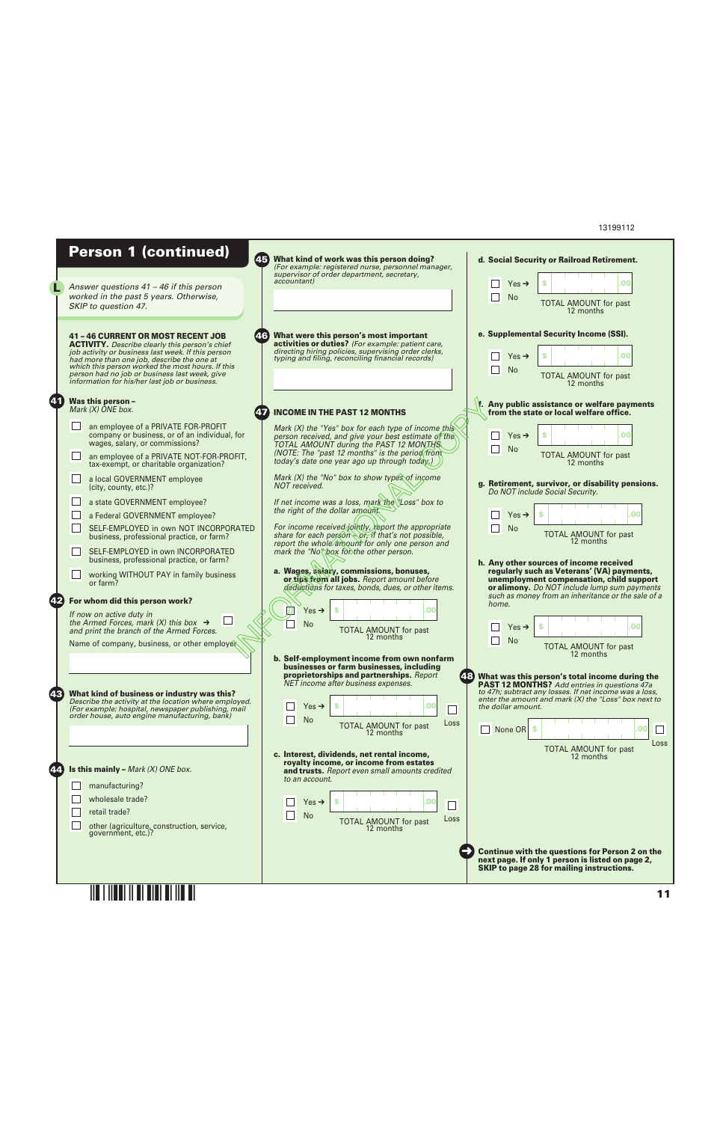

**§.4|-¤**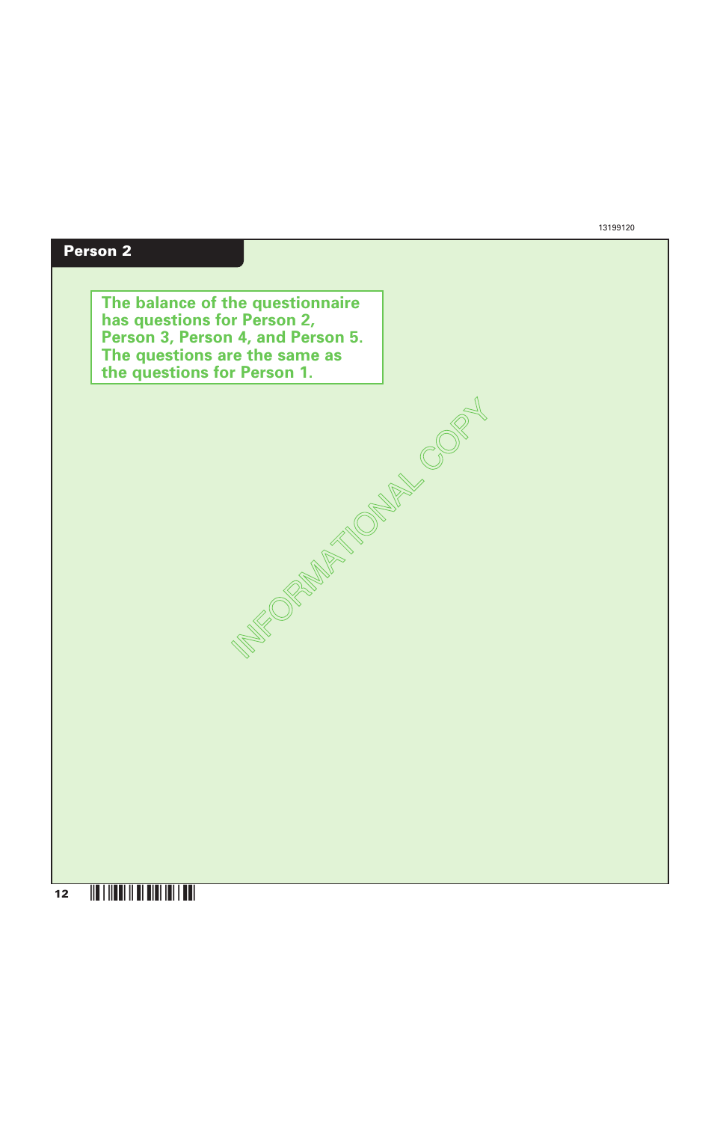### **Person 2**

**The balance of the questionnaire has questions for Person 2, Person 3, Person 4, and Person 5. The questions are the same as the questions for Person 1.**

**INFORMATIONAL COPY**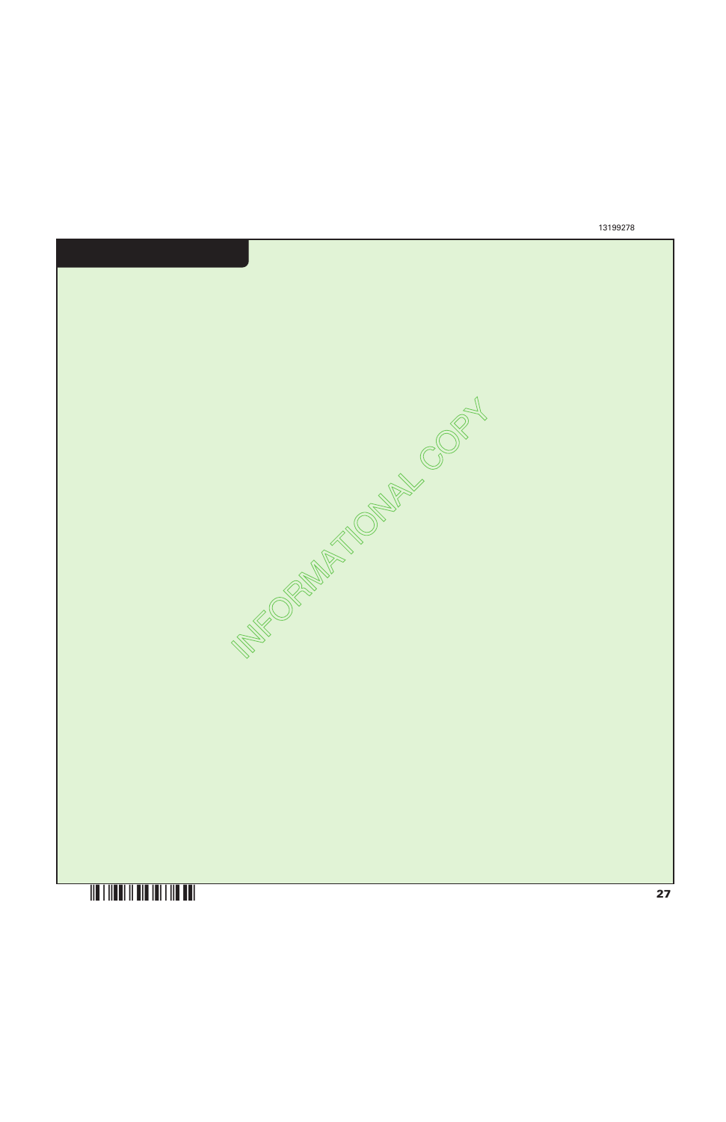